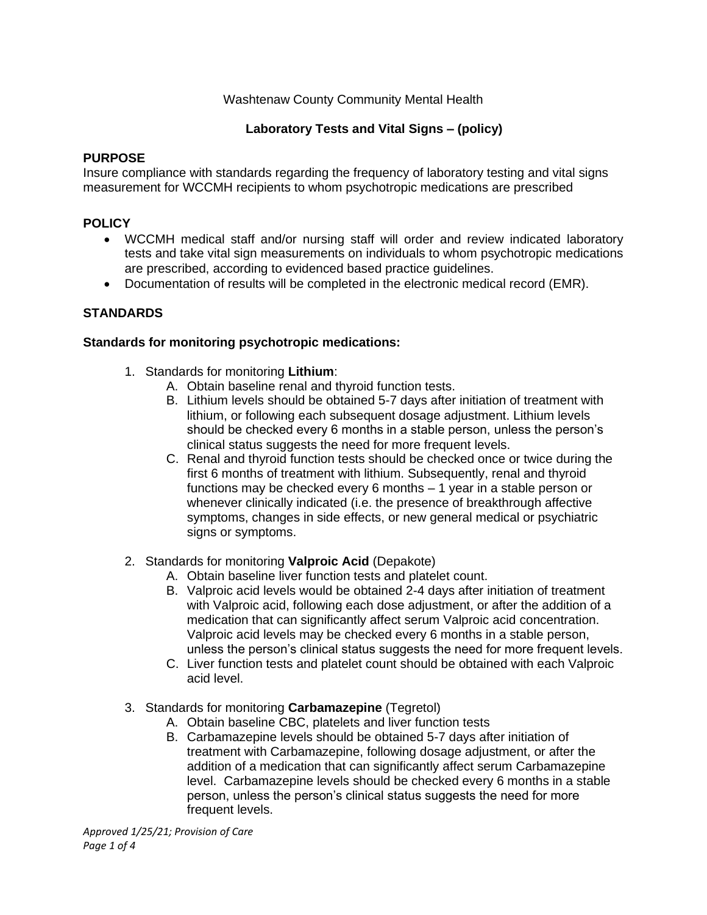## Washtenaw County Community Mental Health

## **Laboratory Tests and Vital Signs – (policy)**

#### **PURPOSE**

Insure compliance with standards regarding the frequency of laboratory testing and vital signs measurement for WCCMH recipients to whom psychotropic medications are prescribed

### **POLICY**

- WCCMH medical staff and/or nursing staff will order and review indicated laboratory tests and take vital sign measurements on individuals to whom psychotropic medications are prescribed, according to evidenced based practice guidelines.
- Documentation of results will be completed in the electronic medical record (EMR).

### **STANDARDS**

#### **Standards for monitoring psychotropic medications:**

- 1. Standards for monitoring **Lithium**:
	- A. Obtain baseline renal and thyroid function tests.
	- B. Lithium levels should be obtained 5-7 days after initiation of treatment with lithium, or following each subsequent dosage adjustment. Lithium levels should be checked every 6 months in a stable person, unless the person's clinical status suggests the need for more frequent levels.
	- C. Renal and thyroid function tests should be checked once or twice during the first 6 months of treatment with lithium. Subsequently, renal and thyroid functions may be checked every 6 months – 1 year in a stable person or whenever clinically indicated (i.e. the presence of breakthrough affective symptoms, changes in side effects, or new general medical or psychiatric signs or symptoms.
- 2. Standards for monitoring **Valproic Acid** (Depakote)
	- A. Obtain baseline liver function tests and platelet count.
	- B. Valproic acid levels would be obtained 2-4 days after initiation of treatment with Valproic acid, following each dose adjustment, or after the addition of a medication that can significantly affect serum Valproic acid concentration. Valproic acid levels may be checked every 6 months in a stable person, unless the person's clinical status suggests the need for more frequent levels.
	- C. Liver function tests and platelet count should be obtained with each Valproic acid level.
- 3. Standards for monitoring **Carbamazepine** (Tegretol)
	- A. Obtain baseline CBC, platelets and liver function tests
	- B. Carbamazepine levels should be obtained 5-7 days after initiation of treatment with Carbamazepine, following dosage adjustment, or after the addition of a medication that can significantly affect serum Carbamazepine level. Carbamazepine levels should be checked every 6 months in a stable person, unless the person's clinical status suggests the need for more frequent levels.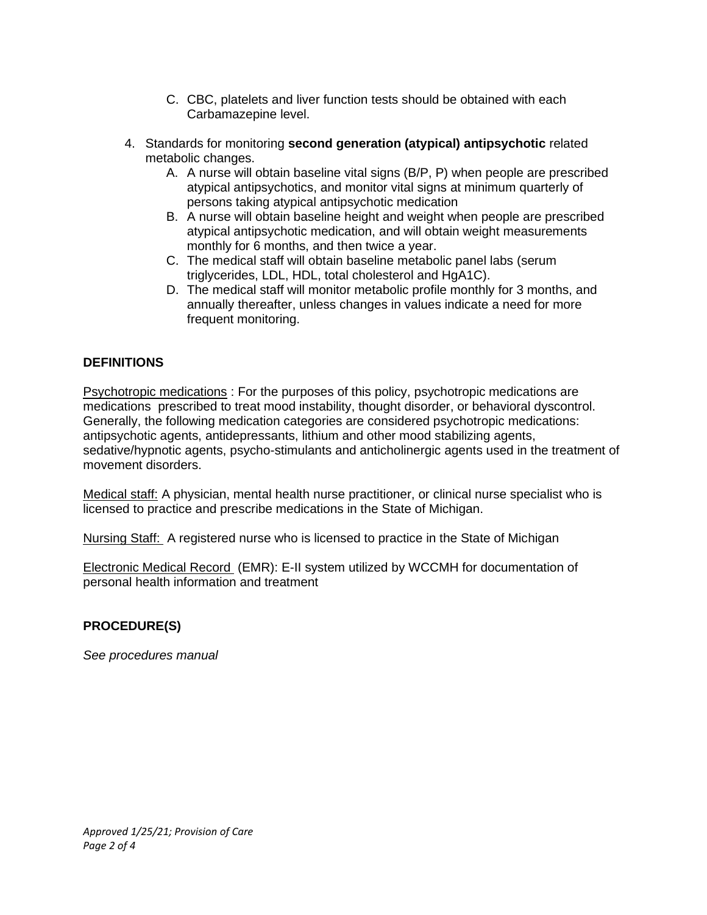- C. CBC, platelets and liver function tests should be obtained with each Carbamazepine level.
- 4. Standards for monitoring **second generation (atypical) antipsychotic** related metabolic changes.
	- A. A nurse will obtain baseline vital signs (B/P, P) when people are prescribed atypical antipsychotics, and monitor vital signs at minimum quarterly of persons taking atypical antipsychotic medication
	- B. A nurse will obtain baseline height and weight when people are prescribed atypical antipsychotic medication, and will obtain weight measurements monthly for 6 months, and then twice a year.
	- C. The medical staff will obtain baseline metabolic panel labs (serum triglycerides, LDL, HDL, total cholesterol and HgA1C).
	- D. The medical staff will monitor metabolic profile monthly for 3 months, and annually thereafter, unless changes in values indicate a need for more frequent monitoring.

## **DEFINITIONS**

Psychotropic medications : For the purposes of this policy, psychotropic medications are medications prescribed to treat mood instability, thought disorder, or behavioral dyscontrol. Generally, the following medication categories are considered psychotropic medications: antipsychotic agents, antidepressants, lithium and other mood stabilizing agents, sedative/hypnotic agents, psycho-stimulants and anticholinergic agents used in the treatment of movement disorders.

Medical staff: A physician, mental health nurse practitioner, or clinical nurse specialist who is licensed to practice and prescribe medications in the State of Michigan.

Nursing Staff: A registered nurse who is licensed to practice in the State of Michigan

Electronic Medical Record (EMR): E-II system utilized by WCCMH for documentation of personal health information and treatment

### **PROCEDURE(S)**

*See procedures manual*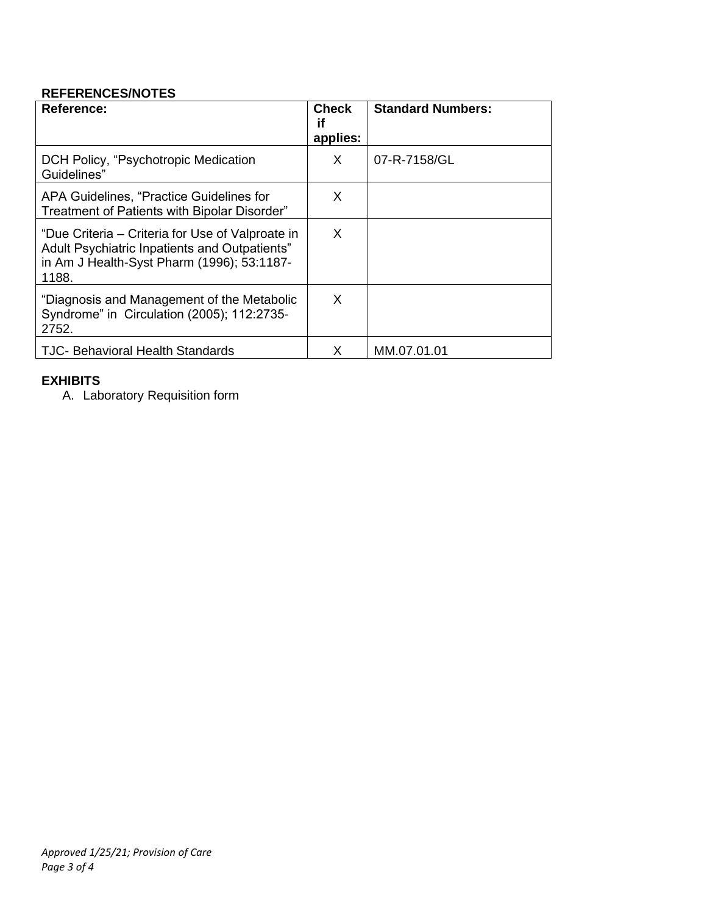## **REFERENCES/NOTES**

| Reference:                                                                                                                                               | <b>Check</b><br>if<br>applies: | <b>Standard Numbers:</b> |
|----------------------------------------------------------------------------------------------------------------------------------------------------------|--------------------------------|--------------------------|
| DCH Policy, "Psychotropic Medication"<br>Guidelines"                                                                                                     | X                              | 07-R-7158/GL             |
| APA Guidelines, "Practice Guidelines for<br>Treatment of Patients with Bipolar Disorder"                                                                 | X                              |                          |
| "Due Criteria – Criteria for Use of Valproate in<br>Adult Psychiatric Inpatients and Outpatients"<br>in Am J Health-Syst Pharm (1996); 53:1187-<br>1188. | X                              |                          |
| "Diagnosis and Management of the Metabolic<br>Syndrome" in Circulation (2005); 112:2735-<br>2752.                                                        | X                              |                          |
| <b>TJC- Behavioral Health Standards</b>                                                                                                                  | X                              | MM.07.01.01              |

## **EXHIBITS**

A. Laboratory Requisition form